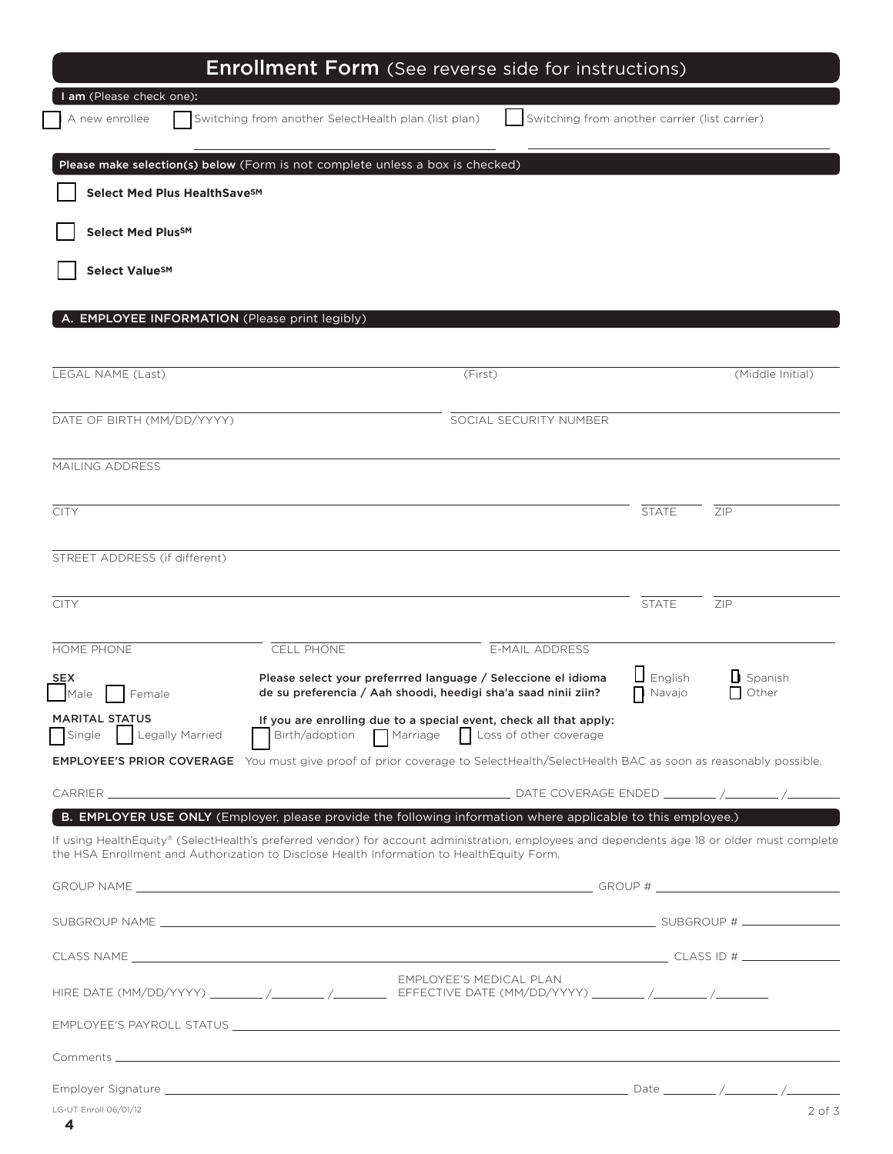|                                 |                               | <b>Enrollment Form</b> (See reverse side for instructions)                                                                                                                                                                                                  |                                               |                          |                                      |
|---------------------------------|-------------------------------|-------------------------------------------------------------------------------------------------------------------------------------------------------------------------------------------------------------------------------------------------------------|-----------------------------------------------|--------------------------|--------------------------------------|
| A new enrollee                  | am (Please check one):        | Switching from another SelectHealth plan (list plan)                                                                                                                                                                                                        | Switching from another carrier (list carrier) |                          |                                      |
|                                 |                               | Please make selection(s) below (Form is not complete unless a box is checked)                                                                                                                                                                               |                                               |                          |                                      |
|                                 | Select Med Plus HealthSaveSM  |                                                                                                                                                                                                                                                             |                                               |                          |                                      |
|                                 | <b>Select Med PlusSM</b>      |                                                                                                                                                                                                                                                             |                                               |                          |                                      |
|                                 | <b>Select ValueSM</b>         |                                                                                                                                                                                                                                                             |                                               |                          |                                      |
|                                 |                               |                                                                                                                                                                                                                                                             |                                               |                          |                                      |
|                                 |                               | A. EMPLOYEE INFORMATION (Please print legibly)                                                                                                                                                                                                              |                                               |                          |                                      |
|                                 |                               |                                                                                                                                                                                                                                                             |                                               |                          |                                      |
| LEGAL NAME (Last)               |                               |                                                                                                                                                                                                                                                             | (First)                                       |                          | (Middle Initial)                     |
|                                 | DATE OF BIRTH (MM/DD/YYYY)    |                                                                                                                                                                                                                                                             | SOCIAL SECURITY NUMBER                        |                          |                                      |
|                                 |                               |                                                                                                                                                                                                                                                             |                                               |                          |                                      |
| MAILING ADDRESS                 |                               |                                                                                                                                                                                                                                                             |                                               |                          |                                      |
| <b>CITY</b>                     |                               |                                                                                                                                                                                                                                                             |                                               | <b>STATE</b>             | ZIP                                  |
|                                 |                               |                                                                                                                                                                                                                                                             |                                               |                          |                                      |
|                                 | STREET ADDRESS (if different) |                                                                                                                                                                                                                                                             |                                               |                          |                                      |
| <b>CITY</b>                     |                               |                                                                                                                                                                                                                                                             |                                               | <b>STATE</b>             | ZIP                                  |
| HOME PHONE                      |                               | CELL PHONE                                                                                                                                                                                                                                                  | <b>E-MAIL ADDRESS</b>                         |                          |                                      |
| <b>SEX</b><br>Male              | Female                        | Please select your preferrred language / Seleccione el idioma<br>de su preferencia / Aah shoodi, heedigi sha'a saad ninii ziin?                                                                                                                             |                                               | $\Box$ English<br>Navajo | $\mathsf{L}$ Spanish<br>$\Box$ Other |
| <b>MARITAL STATUS</b><br>Single | Legally Married               | If you are enrolling due to a special event, check all that apply:<br>Birth/adoption Marriage Loss of other coverage                                                                                                                                        |                                               |                          |                                      |
|                                 |                               | <b>EMPLOYEE'S PRIOR COVERAGE</b> You must give proof of prior coverage to SelectHealth/SelectHealth BAC as soon as reasonably possible.                                                                                                                     |                                               |                          |                                      |
|                                 |                               |                                                                                                                                                                                                                                                             |                                               |                          |                                      |
|                                 |                               | B. EMPLOYER USE ONLY (Employer, please provide the following information where applicable to this employee.)<br>If using HealthEquity® (SelectHealth's preferred vendor) for account administration, employees and dependents age 18 or older must complete |                                               |                          |                                      |
|                                 |                               | the HSA Enrollment and Authorization to Disclose Health Information to HealthEquity Form.                                                                                                                                                                   |                                               |                          |                                      |
|                                 |                               |                                                                                                                                                                                                                                                             |                                               |                          |                                      |
|                                 |                               |                                                                                                                                                                                                                                                             |                                               |                          |                                      |
|                                 |                               |                                                                                                                                                                                                                                                             |                                               |                          |                                      |
|                                 |                               | HIRE DATE (MM/DD/YYYY) ________/_______/__________ EFFECTIVE DATE (MM/DD/YYYY) ________/________/_____________                                                                                                                                              | EMPLOYEE'S MEDICAL PLAN                       |                          |                                      |
|                                 |                               | EMPLOYEE'S PAYROLL STATUS LATER AND A SERIES AND A SERIES OF STATE AND A SERIES OF STATE AND A SERIES OF STATE OF STATE AND A SERIES OF STATE AND A SERIES OF STATE AND A SERIES OF STATE AND A SERIES OF STATE AND A SERIES O                              |                                               |                          |                                      |
|                                 |                               |                                                                                                                                                                                                                                                             |                                               |                          |                                      |
|                                 |                               |                                                                                                                                                                                                                                                             |                                               |                          |                                      |
| LG-UT Enroll 06/01/12           |                               |                                                                                                                                                                                                                                                             |                                               |                          | $2$ of $3$                           |